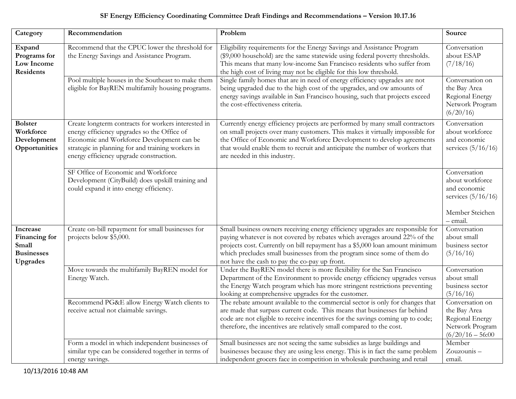## **SF Energy Efficiency Coordinating Committee Draft Findings and Recommendations – Version 10.17.16**

| Category                                                            | Recommendation                                                                                                                                                                                                                                  | Problem                                                                                                                                                                                                                                                                                                                                                                  | Source                                                                                                 |
|---------------------------------------------------------------------|-------------------------------------------------------------------------------------------------------------------------------------------------------------------------------------------------------------------------------------------------|--------------------------------------------------------------------------------------------------------------------------------------------------------------------------------------------------------------------------------------------------------------------------------------------------------------------------------------------------------------------------|--------------------------------------------------------------------------------------------------------|
| Expand<br>Programs for<br>Low Income<br><b>Residents</b>            | Recommend that the CPUC lower the threshold for<br>the Energy Savings and Assistance Program.                                                                                                                                                   | Eligibility requirements for the Energy Savings and Assistance Program<br>(\$9,000 household) are the same statewide using federal poverty thresholds.<br>This means that many low-income San Francisco residents who suffer from<br>the high cost of living may not be eligible for this low threshold.                                                                 | Conversation<br>about ESAP<br>(7/18/16)                                                                |
|                                                                     | Pool multiple houses in the Southeast to make them<br>eligible for BayREN multifamily housing programs.                                                                                                                                         | Single family homes that are in need of energy efficiency upgrades are not<br>being upgraded due to the high cost of the upgrades, and ow amounts of<br>energy savings available in San Francisco housing, such that projects exceed<br>the cost-effectiveness criteria.                                                                                                 | Conversation on<br>the Bay Area<br>Regional Energy<br>Network Program<br>(6/20/16)                     |
| <b>Bolster</b><br>Workforce<br>Development<br>Opportunities         | Create longterm contracts for workers interested in<br>energy efficiency upgrades so the Office of<br>Economic and Workforce Development can be<br>strategic in planning for and training workers in<br>energy efficiency upgrade construction. | Currently energy efficiency projects are performed by many small contractors<br>on small projects over many customers. This makes it virtually impossible for<br>the Office of Economic and Workforce Development to develop agreements<br>that would enable them to recruit and anticipate the number of workers that<br>are needed in this industry.                   | Conversation<br>about workforce<br>and economic<br>services $(5/16/16)$                                |
|                                                                     | SF Office of Economic and Workforce<br>Development (CityBuild) does upskill training and<br>could expand it into energy efficiency.                                                                                                             |                                                                                                                                                                                                                                                                                                                                                                          | Conversation<br>about workforce<br>and economic<br>services $(5/16/16)$<br>Member Steichen<br>– email. |
| Increase<br>Financing for<br>Small<br><b>Businesses</b><br>Upgrades | Create on-bill repayment for small businesses for<br>projects below \$5,000.                                                                                                                                                                    | Small business owners receiving energy efficiency upgrades are responsible for<br>paying whatever is not covered by rebates which averages around 22% of the<br>projects cost. Currently on bill repayment has a \$5,000 loan amount minimum<br>which precludes small businesses from the program since some of them do<br>not have the cash to pay the co-pay up front. | Conversation<br>about small<br>business sector<br>(5/16/16)                                            |
|                                                                     | Move towards the multifamily BayREN model for<br>Energy Watch.                                                                                                                                                                                  | Under the BayREN model there is more flexibility for the San Francisco<br>Department of the Environment to provide energy efficiency upgrades versus<br>the Energy Watch program which has more stringent restrictions preventing<br>looking at comprehensive upgrades for the customer.                                                                                 | Conversation<br>about small<br>business sector<br>(5/16/16)                                            |
|                                                                     | Recommend PG&E allow Energy Watch clients to<br>receive actual not claimable savings.                                                                                                                                                           | The rebate amount available to the commercial sector is only for changes that<br>are made that surpass current code. This means that businesses far behind<br>code are not eligible to receive incentives for the savings coming up to code;<br>therefore, the incentives are relatively small compared to the cost.                                                     | Conversation on<br>the Bay Area<br>Regional Energy<br>Network Program<br>$(6/20/16 - 56:00)$           |
|                                                                     | Form a model in which independent businesses of<br>similar type can be considered together in terms of<br>energy savings.                                                                                                                       | Small businesses are not seeing the same subsidies as large buildings and<br>businesses because they are using less energy. This is in fact the same problem<br>independent grocers face in competition in wholesale purchasing and retail                                                                                                                               | Member<br>Zouzounis-<br>email.                                                                         |